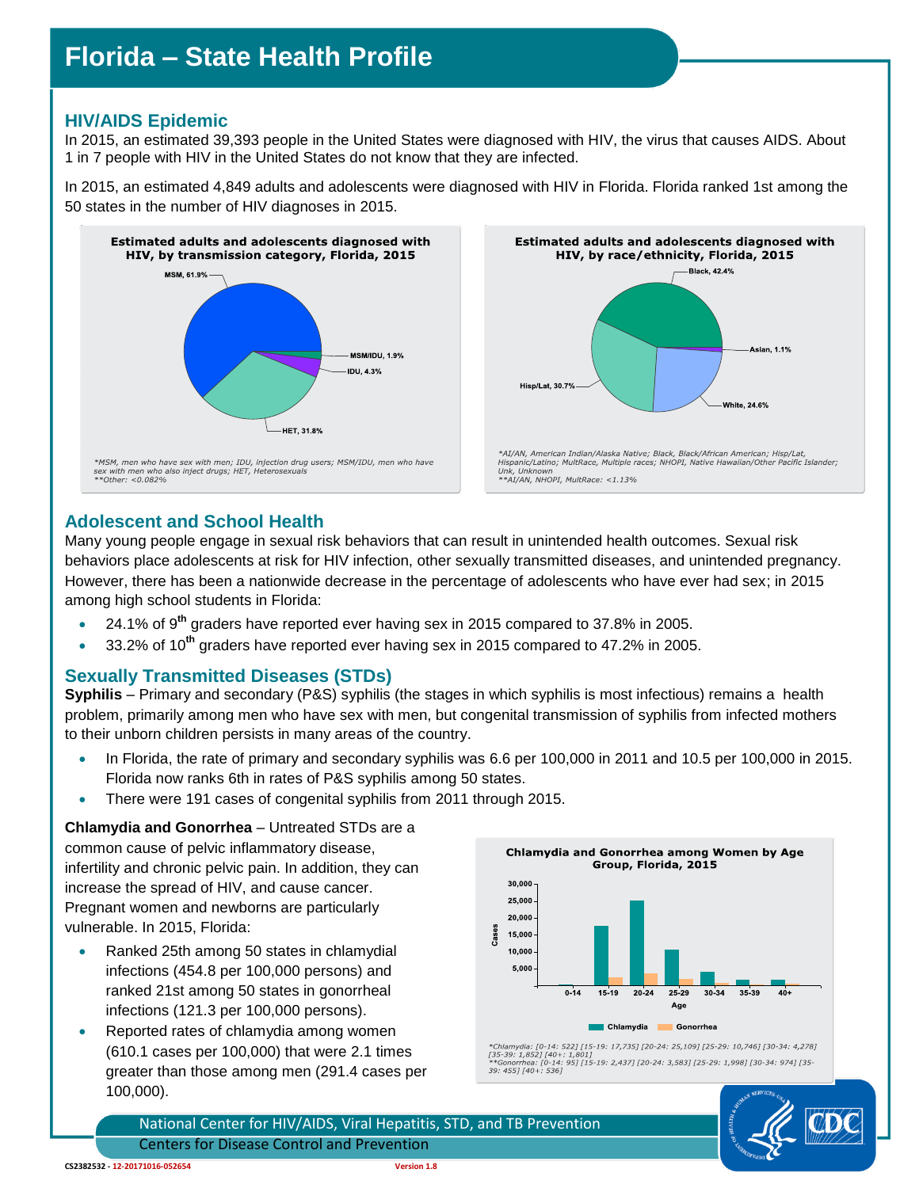# **Florida – State Health Profile**

# **HIV/AIDS Epidemic**

In 2015, an estimated 39,393 people in the United States were diagnosed with HIV, the virus that causes AIDS. About 1 in 7 people with HIV in the United States do not know that they are infected.

In 2015, an estimated 4,849 adults and adolescents were diagnosed with HIV in Florida. Florida ranked 1st among the 50 states in the number of HIV diagnoses in 2015.





## **Adolescent and School Health**

Many young people engage in sexual risk behaviors that can result in unintended health outcomes. Sexual risk behaviors place adolescents at risk for HIV infection, other sexually transmitted diseases, and unintended pregnancy. However, there has been a nationwide decrease in the percentage of adolescents who have ever had sex; in 2015 among high school students in Florida:

- 24.1% of 9**th** graders have reported ever having sex in 2015 compared to 37.8% in 2005.
- 33.2% of 10**th** graders have reported ever having sex in 2015 compared to 47.2% in 2005.

#### **Sexually Transmitted Diseases (STDs)**

**Syphilis** – Primary and secondary (P&S) syphilis (the stages in which syphilis is most infectious) remains a health problem, primarily among men who have sex with men, but congenital transmission of syphilis from infected mothers to their unborn children persists in many areas of the country.

- In Florida, the rate of primary and secondary syphilis was 6.6 per 100,000 in 2011 and 10.5 per 100,000 in 2015. Florida now ranks 6th in rates of P&S syphilis among 50 states.
- There were 191 cases of congenital syphilis from 2011 through 2015.

**Chlamydia and Gonorrhea** – Untreated STDs are a common cause of pelvic inflammatory disease, infertility and chronic pelvic pain. In addition, they can increase the spread of HIV, and cause cancer. Pregnant women and newborns are particularly vulnerable. In 2015, Florida:

- Ranked 25th among 50 states in chlamydial infections (454.8 per 100,000 persons) and ranked 21st among 50 states in gonorrheal infections (121.3 per 100,000 persons).
- Reported rates of chlamydia among women (610.1 cases per 100,000) that were 2.1 times greater than those among men (291.4 cases per 100,000).





National Center for HIV/AIDS, Viral Hepatitis, STD, and TB Prevention Centers for Disease Control and Prevention